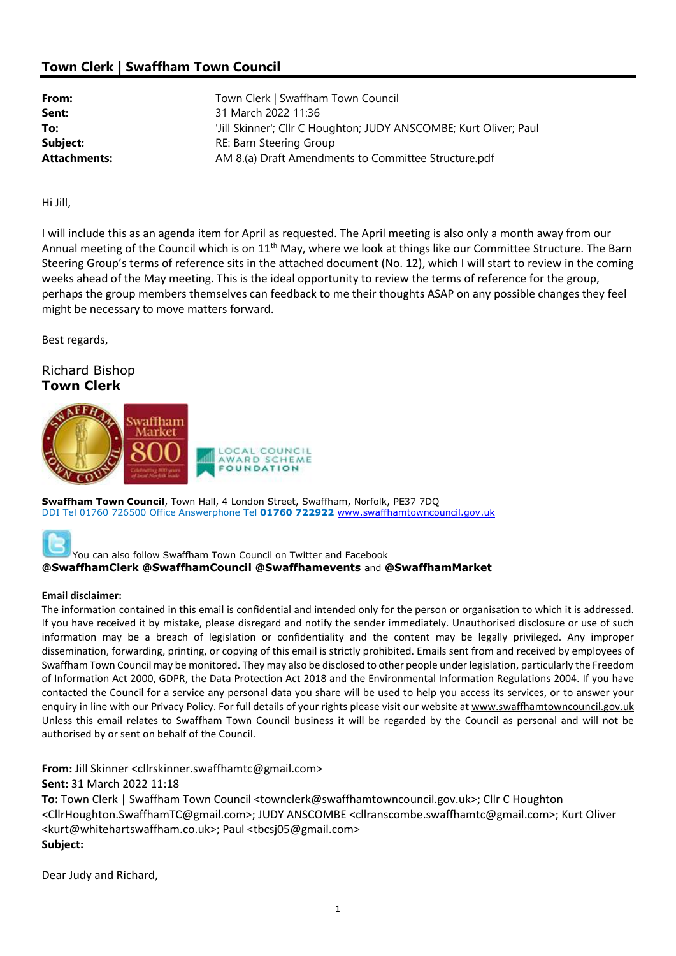## Town Clerk | Swaffham Town Council

| From:               | Town Clerk   Swaffham Town Council                                |
|---------------------|-------------------------------------------------------------------|
| Sent:               | 31 March 2022 11:36                                               |
| To:                 | 'Jill Skinner'; Cllr C Houghton; JUDY ANSCOMBE; Kurt Oliver; Paul |
| Subject:            | RE: Barn Steering Group                                           |
| <b>Attachments:</b> | AM 8.(a) Draft Amendments to Committee Structure.pdf              |

Hi Jill,

I will include this as an agenda item for April as requested. The April meeting is also only a month away from our Annual meeting of the Council which is on 11<sup>th</sup> May, where we look at things like our Committee Structure. The Barn Steering Group's terms of reference sits in the attached document (No. 12), which I will start to review in the coming weeks ahead of the May meeting. This is the ideal opportunity to review the terms of reference for the group, perhaps the group members themselves can feedback to me their thoughts ASAP on any possible changes they feel might be necessary to move matters forward.

Best regards,

## Richard Bishop Town Clerk



Swaffham Town Council, Town Hall, 4 London Street, Swaffham, Norfolk, PE37 7DQ DDI Tel 01760 726500 Office Answerphone Tel 01760 722922 www.swaffhamtowncouncil.gov.uk



You can also follow Swaffham Town Council on Twitter and Facebook @SwaffhamClerk @SwaffhamCouncil @Swaffhamevents and @SwaffhamMarket

## Email disclaimer:

The information contained in this email is confidential and intended only for the person or organisation to which it is addressed. If you have received it by mistake, please disregard and notify the sender immediately. Unauthorised disclosure or use of such information may be a breach of legislation or confidentiality and the content may be legally privileged. Any improper dissemination, forwarding, printing, or copying of this email is strictly prohibited. Emails sent from and received by employees of Swaffham Town Council may be monitored. They may also be disclosed to other people under legislation, particularly the Freedom of Information Act 2000, GDPR, the Data Protection Act 2018 and the Environmental Information Regulations 2004. If you have contacted the Council for a service any personal data you share will be used to help you access its services, or to answer your enquiry in line with our Privacy Policy. For full details of your rights please visit our website at www.swaffhamtowncouncil.gov.uk Unless this email relates to Swaffham Town Council business it will be regarded by the Council as personal and will not be authorised by or sent on behalf of the Council.

From: Jill Skinner <cllrskinner.swaffhamtc@gmail.com> Sent: 31 March 2022 11:18 To: Town Clerk | Swaffham Town Council <townclerk@swaffhamtowncouncil.gov.uk>; Cllr C Houghton <CllrHoughton.SwaffhamTC@gmail.com>; JUDY ANSCOMBE <cllranscombe.swaffhamtc@gmail.com>; Kurt Oliver <kurt@whitehartswaffham.co.uk>; Paul <tbcsj05@gmail.com> Subject:

Dear Judy and Richard,